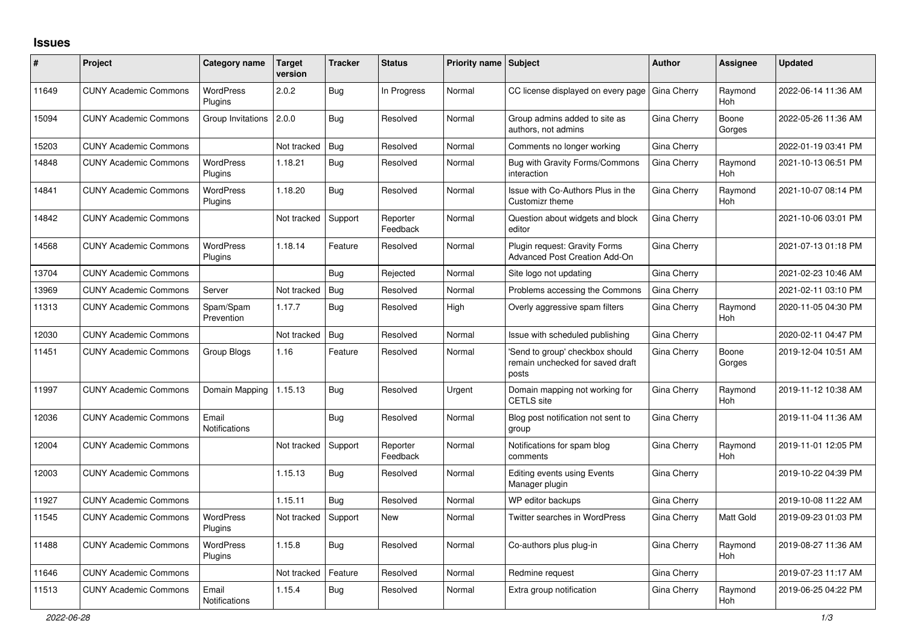## **Issues**

| #     | <b>Project</b>               | Category name                 | <b>Target</b><br>version | <b>Tracker</b> | <b>Status</b>        | <b>Priority name Subject</b> |                                                                             | <b>Author</b> | Assignee              | <b>Updated</b>      |
|-------|------------------------------|-------------------------------|--------------------------|----------------|----------------------|------------------------------|-----------------------------------------------------------------------------|---------------|-----------------------|---------------------|
| 11649 | <b>CUNY Academic Commons</b> | <b>WordPress</b><br>Plugins   | 2.0.2                    | Bug            | In Progress          | Normal                       | CC license displayed on every page                                          | Gina Cherry   | Raymond<br><b>Hoh</b> | 2022-06-14 11:36 AM |
| 15094 | <b>CUNY Academic Commons</b> | Group Invitations             | 2.0.0                    | Bug            | Resolved             | Normal                       | Group admins added to site as<br>authors, not admins                        | Gina Cherry   | Boone<br>Gorges       | 2022-05-26 11:36 AM |
| 15203 | <b>CUNY Academic Commons</b> |                               | Not tracked              | Bug            | Resolved             | Normal                       | Comments no longer working                                                  | Gina Cherry   |                       | 2022-01-19 03:41 PM |
| 14848 | <b>CUNY Academic Commons</b> | <b>WordPress</b><br>Plugins   | 1.18.21                  | Bug            | Resolved             | Normal                       | Bug with Gravity Forms/Commons<br>interaction                               | Gina Cherry   | Raymond<br>Hoh        | 2021-10-13 06:51 PM |
| 14841 | <b>CUNY Academic Commons</b> | <b>WordPress</b><br>Plugins   | 1.18.20                  | Bug            | Resolved             | Normal                       | Issue with Co-Authors Plus in the<br>Customizr theme                        | Gina Cherry   | Raymond<br>Hoh        | 2021-10-07 08:14 PM |
| 14842 | <b>CUNY Academic Commons</b> |                               | Not tracked              | Support        | Reporter<br>Feedback | Normal                       | Question about widgets and block<br>editor                                  | Gina Cherry   |                       | 2021-10-06 03:01 PM |
| 14568 | <b>CUNY Academic Commons</b> | <b>WordPress</b><br>Plugins   | 1.18.14                  | Feature        | Resolved             | Normal                       | Plugin request: Gravity Forms<br><b>Advanced Post Creation Add-On</b>       | Gina Cherry   |                       | 2021-07-13 01:18 PM |
| 13704 | <b>CUNY Academic Commons</b> |                               |                          | Bug            | Rejected             | Normal                       | Site logo not updating                                                      | Gina Cherry   |                       | 2021-02-23 10:46 AM |
| 13969 | <b>CUNY Academic Commons</b> | Server                        | Not tracked              | <b>Bug</b>     | Resolved             | Normal                       | Problems accessing the Commons                                              | Gina Cherry   |                       | 2021-02-11 03:10 PM |
| 11313 | <b>CUNY Academic Commons</b> | Spam/Spam<br>Prevention       | 1.17.7                   | Bug            | Resolved             | High                         | Overly aggressive spam filters                                              | Gina Cherry   | Raymond<br><b>Hoh</b> | 2020-11-05 04:30 PM |
| 12030 | <b>CUNY Academic Commons</b> |                               | Not tracked              | Bug            | Resolved             | Normal                       | Issue with scheduled publishing                                             | Gina Cherry   |                       | 2020-02-11 04:47 PM |
| 11451 | <b>CUNY Academic Commons</b> | Group Blogs                   | 1.16                     | Feature        | Resolved             | Normal                       | Send to group' checkbox should<br>remain unchecked for saved draft<br>posts | Gina Cherry   | Boone<br>Gorges       | 2019-12-04 10:51 AM |
| 11997 | <b>CUNY Academic Commons</b> | Domain Mapping                | 1.15.13                  | Bug            | Resolved             | Urgent                       | Domain mapping not working for<br><b>CETLS</b> site                         | Gina Cherry   | Raymond<br><b>Hoh</b> | 2019-11-12 10:38 AM |
| 12036 | <b>CUNY Academic Commons</b> | Email<br><b>Notifications</b> |                          | Bug            | Resolved             | Normal                       | Blog post notification not sent to<br>group                                 | Gina Cherry   |                       | 2019-11-04 11:36 AM |
| 12004 | <b>CUNY Academic Commons</b> |                               | Not tracked              | Support        | Reporter<br>Feedback | Normal                       | Notifications for spam blog<br>comments                                     | Gina Cherry   | Raymond<br><b>Hoh</b> | 2019-11-01 12:05 PM |
| 12003 | <b>CUNY Academic Commons</b> |                               | 1.15.13                  | Bug            | Resolved             | Normal                       | <b>Editing events using Events</b><br>Manager plugin                        | Gina Cherry   |                       | 2019-10-22 04:39 PM |
| 11927 | <b>CUNY Academic Commons</b> |                               | 1.15.11                  | Bug            | Resolved             | Normal                       | WP editor backups                                                           | Gina Cherry   |                       | 2019-10-08 11:22 AM |
| 11545 | <b>CUNY Academic Commons</b> | <b>WordPress</b><br>Plugins   | Not tracked              | Support        | New                  | Normal                       | <b>Twitter searches in WordPress</b>                                        | Gina Cherry   | Matt Gold             | 2019-09-23 01:03 PM |
| 11488 | <b>CUNY Academic Commons</b> | <b>WordPress</b><br>Plugins   | 1.15.8                   | Bug            | Resolved             | Normal                       | Co-authors plus plug-in                                                     | Gina Cherry   | Raymond<br><b>Hoh</b> | 2019-08-27 11:36 AM |
| 11646 | <b>CUNY Academic Commons</b> |                               | Not tracked              | Feature        | Resolved             | Normal                       | Redmine request                                                             | Gina Cherry   |                       | 2019-07-23 11:17 AM |
| 11513 | <b>CUNY Academic Commons</b> | Email<br><b>Notifications</b> | 1.15.4                   | <b>Bug</b>     | Resolved             | Normal                       | Extra group notification                                                    | Gina Cherry   | Raymond<br>Hoh        | 2019-06-25 04:22 PM |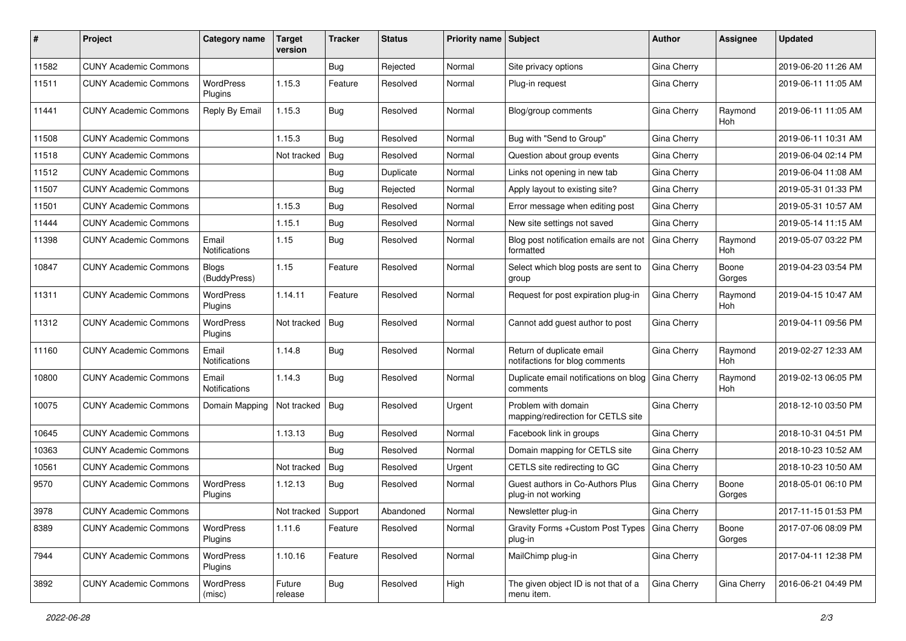| #     | Project                      | Category name                 | Target<br>version | <b>Tracker</b> | <b>Status</b> | Priority name Subject |                                                             | <b>Author</b> | Assignee              | <b>Updated</b>      |
|-------|------------------------------|-------------------------------|-------------------|----------------|---------------|-----------------------|-------------------------------------------------------------|---------------|-----------------------|---------------------|
| 11582 | <b>CUNY Academic Commons</b> |                               |                   | <b>Bug</b>     | Rejected      | Normal                | Site privacy options                                        | Gina Cherry   |                       | 2019-06-20 11:26 AM |
| 11511 | <b>CUNY Academic Commons</b> | <b>WordPress</b><br>Plugins   | 1.15.3            | Feature        | Resolved      | Normal                | Plug-in request                                             | Gina Cherry   |                       | 2019-06-11 11:05 AM |
| 11441 | <b>CUNY Academic Commons</b> | Reply By Email                | 1.15.3            | Bug            | Resolved      | Normal                | Blog/group comments                                         | Gina Cherry   | Raymond<br><b>Hoh</b> | 2019-06-11 11:05 AM |
| 11508 | <b>CUNY Academic Commons</b> |                               | 1.15.3            | Bug            | Resolved      | Normal                | Bug with "Send to Group"                                    | Gina Cherry   |                       | 2019-06-11 10:31 AM |
| 11518 | <b>CUNY Academic Commons</b> |                               | Not tracked       | Bug            | Resolved      | Normal                | Question about group events                                 | Gina Cherry   |                       | 2019-06-04 02:14 PM |
| 11512 | <b>CUNY Academic Commons</b> |                               |                   | <b>Bug</b>     | Duplicate     | Normal                | Links not opening in new tab                                | Gina Cherry   |                       | 2019-06-04 11:08 AM |
| 11507 | <b>CUNY Academic Commons</b> |                               |                   | <b>Bug</b>     | Rejected      | Normal                | Apply layout to existing site?                              | Gina Cherry   |                       | 2019-05-31 01:33 PM |
| 11501 | <b>CUNY Academic Commons</b> |                               | 1.15.3            | <b>Bug</b>     | Resolved      | Normal                | Error message when editing post                             | Gina Cherry   |                       | 2019-05-31 10:57 AM |
| 11444 | <b>CUNY Academic Commons</b> |                               | 1.15.1            | <b>Bug</b>     | Resolved      | Normal                | New site settings not saved                                 | Gina Cherry   |                       | 2019-05-14 11:15 AM |
| 11398 | <b>CUNY Academic Commons</b> | Email<br><b>Notifications</b> | 1.15              | Bug            | Resolved      | Normal                | Blog post notification emails are not<br>formatted          | Gina Cherry   | Raymond<br><b>Hoh</b> | 2019-05-07 03:22 PM |
| 10847 | <b>CUNY Academic Commons</b> | <b>Blogs</b><br>(BuddyPress)  | 1.15              | Feature        | Resolved      | Normal                | Select which blog posts are sent to<br>group                | Gina Cherry   | Boone<br>Gorges       | 2019-04-23 03:54 PM |
| 11311 | <b>CUNY Academic Commons</b> | WordPress<br>Plugins          | 1.14.11           | Feature        | Resolved      | Normal                | Request for post expiration plug-in                         | Gina Cherry   | Raymond<br>Hoh        | 2019-04-15 10:47 AM |
| 11312 | <b>CUNY Academic Commons</b> | <b>WordPress</b><br>Plugins   | Not tracked       | Bug            | Resolved      | Normal                | Cannot add guest author to post                             | Gina Cherry   |                       | 2019-04-11 09:56 PM |
| 11160 | <b>CUNY Academic Commons</b> | Email<br>Notifications        | 1.14.8            | Bug            | Resolved      | Normal                | Return of duplicate email<br>notifactions for blog comments | Gina Cherry   | Raymond<br><b>Hoh</b> | 2019-02-27 12:33 AM |
| 10800 | <b>CUNY Academic Commons</b> | Email<br>Notifications        | 1.14.3            | Bug            | Resolved      | Normal                | Duplicate email notifications on blog<br>comments           | Gina Cherry   | Raymond<br>Hoh        | 2019-02-13 06:05 PM |
| 10075 | <b>CUNY Academic Commons</b> | Domain Mapping                | Not tracked       | Bug            | Resolved      | Urgent                | Problem with domain<br>mapping/redirection for CETLS site   | Gina Cherry   |                       | 2018-12-10 03:50 PM |
| 10645 | <b>CUNY Academic Commons</b> |                               | 1.13.13           | Bug            | Resolved      | Normal                | Facebook link in groups                                     | Gina Cherry   |                       | 2018-10-31 04:51 PM |
| 10363 | <b>CUNY Academic Commons</b> |                               |                   | Bug            | Resolved      | Normal                | Domain mapping for CETLS site                               | Gina Cherry   |                       | 2018-10-23 10:52 AM |
| 10561 | <b>CUNY Academic Commons</b> |                               | Not tracked       | Bug            | Resolved      | Urgent                | CETLS site redirecting to GC                                | Gina Cherry   |                       | 2018-10-23 10:50 AM |
| 9570  | <b>CUNY Academic Commons</b> | <b>WordPress</b><br>Plugins   | 1.12.13           | Bug            | Resolved      | Normal                | Guest authors in Co-Authors Plus<br>plug-in not working     | Gina Cherry   | Boone<br>Gorges       | 2018-05-01 06:10 PM |
| 3978  | <b>CUNY Academic Commons</b> |                               | Not tracked       | Support        | Abandoned     | Normal                | Newsletter plug-in                                          | Gina Cherry   |                       | 2017-11-15 01:53 PM |
| 8389  | <b>CUNY Academic Commons</b> | <b>WordPress</b><br>Plugins   | 1.11.6            | Feature        | Resolved      | Normal                | Gravity Forms + Custom Post Types   Gina Cherry<br>plug-in  |               | Boone<br>Gorges       | 2017-07-06 08:09 PM |
| 7944  | <b>CUNY Academic Commons</b> | WordPress<br>Plugins          | 1.10.16           | Feature        | Resolved      | Normal                | MailChimp plug-in                                           | Gina Cherry   |                       | 2017-04-11 12:38 PM |
| 3892  | <b>CUNY Academic Commons</b> | WordPress<br>(misc)           | Future<br>release | <b>Bug</b>     | Resolved      | High                  | The given object ID is not that of a<br>menu item.          | Gina Cherry   | Gina Cherry           | 2016-06-21 04:49 PM |